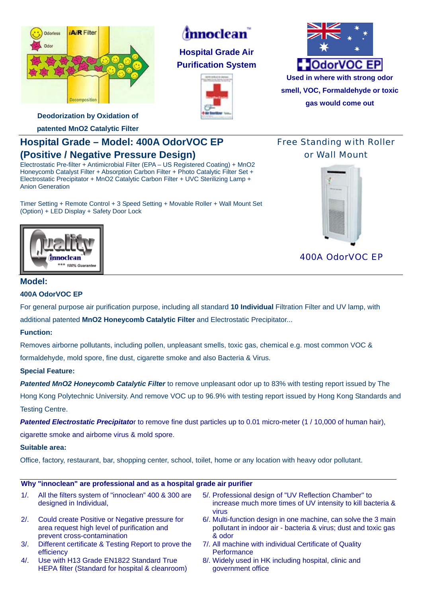

# *innoclean*

**Hospital Grade Air Purification System** 





**gas would come out**

**Deodorization by Oxidation of** 

**patented MnO2 Catalytic Filter** 

# **Hospital Grade – Model: 400A OdorVOC EP (Positive / Negative Pressure Design)**

Electrostatic Pre-filter + Antimicrobial Filter (EPA – US Registered Coating) + MnO2 Honeycomb Catalyst Filter + Absorption Carbon Filter + Photo Catalytic Filter Set + Electrostatic Precipitator + MnO2 Catalytic Carbon Filter + UVC Sterilizing Lamp + Anion Generation

Timer Setting + Remote Control + 3 Speed Setting + Movable Roller + Wall Mount Set (Option) + LED Display + Safety Door Lock

## Free Standing with Roller or Wall Mount



400A OdorVOC EP



## **Model:**

### **400A OdorVOC EP**

For general purpose air purification purpose, including all standard **10 Individual** Filtration Filter and UV lamp, with additional patented **MnO2 Honeycomb Catalytic Filter** and Electrostatic Precipitator...

## **Function:**

Removes airborne pollutants, including pollen, unpleasant smells, toxic gas, chemical e.g. most common VOC & formaldehyde, mold spore, fine dust, cigarette smoke and also Bacteria & Virus.

## **Special Feature:**

*Patented MnO2 Honeycomb Catalytic Filter* to remove unpleasant odor up to 83% with testing report issued by The Hong Kong Polytechnic University. And remove VOC up to 96.9% with testing report issued by Hong Kong Standards and Testing Centre.

**Patented Electrostatic Precipitato**r to remove fine dust particles up to 0.01 micro-meter (1/10,000 of human hair),

cigarette smoke and airbome virus & mold spore.

#### **Suitable area:**

Office, factory, restaurant, bar, shopping center, school, toilet, home or any location with heavy odor pollutant.

#### **Why "innoclean" are professional and as a hospital grade air purifier**

| 1/2    | All the filters system of "innoclean" 400 & 300 are<br>designed in Individual,                                               | 5/. Professional design of "UV Reflection Chamber" to<br>increase much more times of UV intensity to kill bacteria &<br><b>VIIUS</b>       |
|--------|------------------------------------------------------------------------------------------------------------------------------|--------------------------------------------------------------------------------------------------------------------------------------------|
| 2/2    | Could create Positive or Negative pressure for<br>area request high level of purification and<br>prevent cross-contamination | 6/. Multi-function design in one machine, can solve the 3 main<br>pollutant in indoor air - bacteria & virus; dust and toxic gas<br>& odor |
| $3/$ . | Different certificate & Testing Report to prove the                                                                          | 7/. All machine with individual Certificate of Quality                                                                                     |

- efficiency 4/. Use with H13 Grade EN1822 Standard True
- HEPA filter (Standard for hospital & cleanroom)
- **Performance** 8/. Widely used in HK including hospital, clinic and
- government office